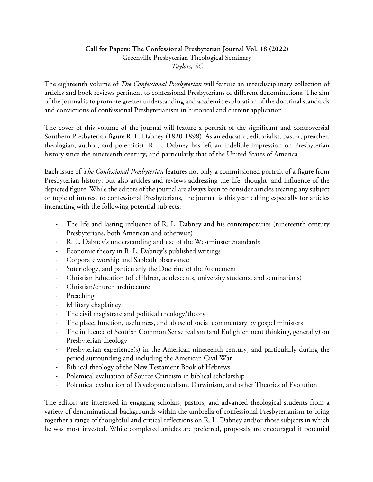## **Call for Papers: The Confessional Presbyterian Journal Vol. 18 (2022)** Greenville Presbyterian Theological Seminary *Taylors, SC*

The eighteenth volume of *The Confessional Presbyterian* will feature an interdisciplinary collection of articles and book reviews pertinent to confessional Presbyterians of different denominations. The aim of the journal is to promote greater understanding and academic exploration of the doctrinal standards and convictions of confessional Presbyterianism in historical and current application.

The cover of this volume of the journal will feature a portrait of the significant and controversial Southern Presbyterian figure R. L. Dabney (1820-1898). As an educator, editorialist, pastor, preacher, theologian, author, and polemicist, R. L. Dabney has left an indelible impression on Presbyterian history since the nineteenth century, and particularly that of the United States of America.

Each issue of *The Confessional Presbyterian* features not only a commissioned portrait of a figure from Presbyterian history, but also articles and reviews addressing the life, thought, and influence of the depicted figure. While the editors of the journal are always keen to consider articles treating any subject or topic of interest to confessional Presbyterians, the journal is this year calling especially for articles interacting with the following potential subjects:

- The life and lasting influence of R. L. Dabney and his contemporaries (nineteenth century Presbyterians, both American and otherwise)
- R. L. Dabney's understanding and use of the Westminster Standards
- Economic theory in R. L. Dabney's published writings
- Corporate worship and Sabbath observance
- Soteriology, and particularly the Doctrine of the Atonement
- Christian Education (of children, adolescents, university students, and seminarians)
- Christian/church architecture
- Preaching
- Military chaplaincy
- The civil magistrate and political theology/theory
- The place, function, usefulness, and abuse of social commentary by gospel ministers
- The influence of Scottish Common Sense realism (and Enlightenment thinking, generally) on Presbyterian theology
- Presbyterian experience(s) in the American nineteenth century, and particularly during the period surrounding and including the American Civil War
- Biblical theology of the New Testament Book of Hebrews
- Polemical evaluation of Source Criticism in biblical scholarship
- Polemical evaluation of Developmentalism, Darwinism, and other Theories of Evolution

The editors are interested in engaging scholars, pastors, and advanced theological students from a variety of denominational backgrounds within the umbrella of confessional Presbyterianism to bring together a range of thoughtful and critical reflections on R. L. Dabney and/or those subjects in which he was most invested. While completed articles are preferred, proposals are encouraged if potential